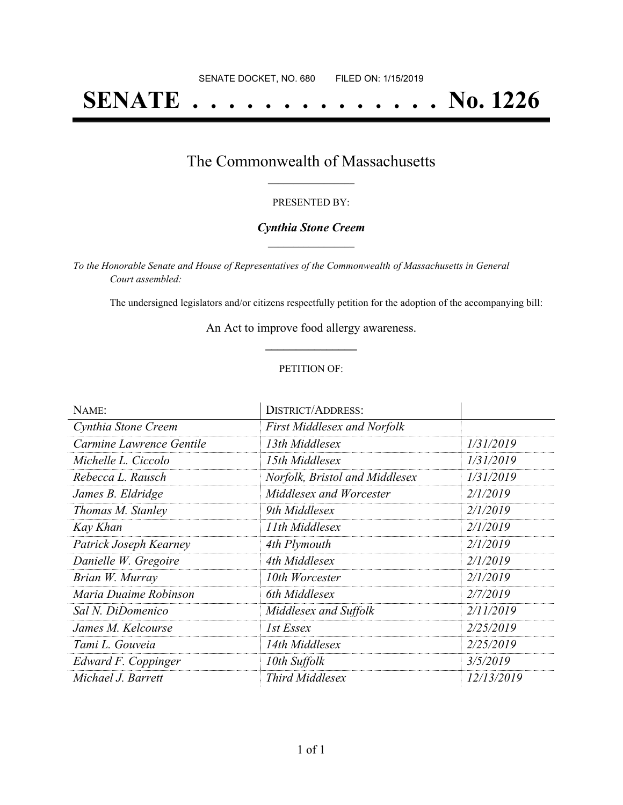# **SENATE . . . . . . . . . . . . . . No. 1226**

### The Commonwealth of Massachusetts **\_\_\_\_\_\_\_\_\_\_\_\_\_\_\_\_\_**

#### PRESENTED BY:

#### *Cynthia Stone Creem* **\_\_\_\_\_\_\_\_\_\_\_\_\_\_\_\_\_**

*To the Honorable Senate and House of Representatives of the Commonwealth of Massachusetts in General Court assembled:*

The undersigned legislators and/or citizens respectfully petition for the adoption of the accompanying bill:

An Act to improve food allergy awareness. **\_\_\_\_\_\_\_\_\_\_\_\_\_\_\_**

#### PETITION OF:

| NAME:                    | <b>DISTRICT/ADDRESS:</b>           |                   |
|--------------------------|------------------------------------|-------------------|
| Cynthia Stone Creem      | <b>First Middlesex and Norfolk</b> |                   |
| Carmine Lawrence Gentile | 13th Middlesex                     | 1/31/2019         |
| Michelle L. Ciccolo      | 15th Middlesex                     | 1/31/2019         |
| Rebecca L. Rausch        | Norfolk, Bristol and Middlesex     | 1/31/2019         |
| James B. Eldridge        | Middlesex and Worcester            | 2/1/2019          |
| Thomas M. Stanley        | 9th Middlesex                      | 2/1/2019          |
| Kay Khan                 | 11th Middlesex                     | 2/1/2019          |
| Patrick Joseph Kearney   | 4th Plymouth                       | 2/1/2019          |
| Danielle W. Gregoire     | 4th Middlesex                      | 2/1/2019          |
| Brian W. Murray          | 10th Worcester                     | 2/1/2019          |
| Maria Duaime Robinson    | 6th Middlesex                      | 2/7/2019          |
| Sal N. DiDomenico        | Middlesex and Suffolk              | 2/11/2019         |
| James M. Kelcourse       | 1st Essex                          | 2/25/2019         |
| Tami L. Gouveia          | 14th Middlesex                     | 2/25/2019         |
| Edward F. Coppinger      | 10th Suffolk                       | 3/5/2019          |
| Michael J. Barrett       | <b>Third Middlesex</b>             | <i>12/13/2019</i> |